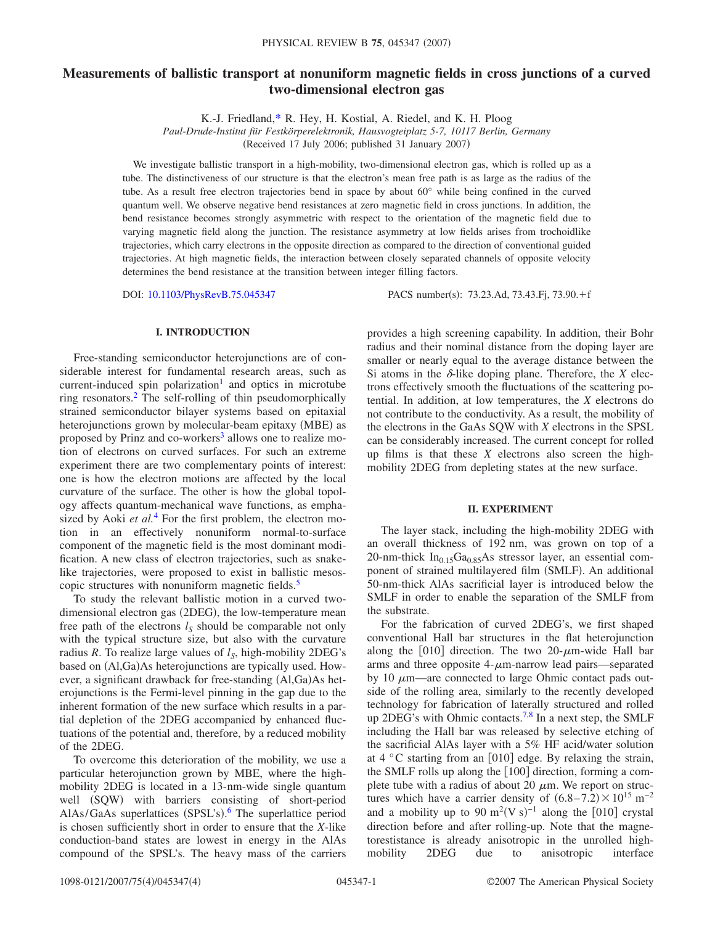# **Measurements of ballistic transport at nonuniform magnetic fields in cross junctions of a curved two-dimensional electron gas**

K.-J. Friedland[,\\*](#page-3-0) R. Hey, H. Kostial, A. Riedel, and K. H. Ploog

*Paul-Drude-Institut für Festkörperelektronik, Hausvogteiplatz 5-7, 10117 Berlin, Germany* (Received 17 July 2006; published 31 January 2007)

We investigate ballistic transport in a high-mobility, two-dimensional electron gas, which is rolled up as a tube. The distinctiveness of our structure is that the electron's mean free path is as large as the radius of the tube. As a result free electron trajectories bend in space by about 60° while being confined in the curved quantum well. We observe negative bend resistances at zero magnetic field in cross junctions. In addition, the bend resistance becomes strongly asymmetric with respect to the orientation of the magnetic field due to varying magnetic field along the junction. The resistance asymmetry at low fields arises from trochoidlike trajectories, which carry electrons in the opposite direction as compared to the direction of conventional guided trajectories. At high magnetic fields, the interaction between closely separated channels of opposite velocity determines the bend resistance at the transition between integer filling factors.

DOI: [10.1103/PhysRevB.75.045347](http://dx.doi.org/10.1103/PhysRevB.75.045347)

PACS number(s): 73.23.Ad, 73.43.Fj, 73.90.+f

# **I. INTRODUCTION**

Free-standing semiconductor heterojunctions are of considerable interest for fundamental research areas, such as current-induced spin polarization<sup>1</sup> and optics in microtube ring resonators[.2](#page-3-2) The self-rolling of thin pseudomorphically strained semiconductor bilayer systems based on epitaxial heterojunctions grown by molecular-beam epitaxy (MBE) as proposed by Prinz and co-workers<sup>3</sup> allows one to realize motion of electrons on curved surfaces. For such an extreme experiment there are two complementary points of interest: one is how the electron motions are affected by the local curvature of the surface. The other is how the global topology affects quantum-mechanical wave functions, as emphasized by Aoki *et al.*[4](#page-3-4) For the first problem, the electron motion in an effectively nonuniform normal-to-surface component of the magnetic field is the most dominant modification. A new class of electron trajectories, such as snakelike trajectories, were proposed to exist in ballistic mesoscopic structures with nonuniform magnetic fields.<sup>5</sup>

To study the relevant ballistic motion in a curved twodimensional electron gas (2DEG), the low-temperature mean free path of the electrons  $l<sub>S</sub>$  should be comparable not only with the typical structure size, but also with the curvature radius *R*. To realize large values of  $l_s$ , high-mobility 2DEG's based on (Al,Ga)As heterojunctions are typically used. However, a significant drawback for free-standing (Al,Ga)As heterojunctions is the Fermi-level pinning in the gap due to the inherent formation of the new surface which results in a partial depletion of the 2DEG accompanied by enhanced fluctuations of the potential and, therefore, by a reduced mobility of the 2DEG.

To overcome this deterioration of the mobility, we use a particular heterojunction grown by MBE, where the highmobility 2DEG is located in a 13-nm-wide single quantum well (SQW) with barriers consisting of short-period AlAs/GaAs superlattices (SPSL's).<sup>[6](#page-3-6)</sup> The superlattice period is chosen sufficiently short in order to ensure that the *X*-like conduction-band states are lowest in energy in the AlAs compound of the SPSL's. The heavy mass of the carriers provides a high screening capability. In addition, their Bohr radius and their nominal distance from the doping layer are smaller or nearly equal to the average distance between the Si atoms in the  $\delta$ -like doping plane. Therefore, the *X* electrons effectively smooth the fluctuations of the scattering potential. In addition, at low temperatures, the *X* electrons do not contribute to the conductivity. As a result, the mobility of the electrons in the GaAs SQW with *X* electrons in the SPSL can be considerably increased. The current concept for rolled up films is that these *X* electrons also screen the highmobility 2DEG from depleting states at the new surface.

### **II. EXPERIMENT**

The layer stack, including the high-mobility 2DEG with an overall thickness of 192 nm, was grown on top of a 20-nm-thick  $In<sub>0.15</sub>Ga<sub>0.85</sub>As stressor layer, an essential com$ ponent of strained multilayered film (SMLF). An additional 50-nm-thick AlAs sacrificial layer is introduced below the SMLF in order to enable the separation of the SMLF from the substrate.

For the fabrication of curved 2DEG's, we first shaped conventional Hall bar structures in the flat heterojunction along the  $[010]$  direction. The two 20- $\mu$ m-wide Hall bar arms and three opposite  $4-\mu$ m-narrow lead pairs—separated by 10  $\mu$ m—are connected to large Ohmic contact pads outside of the rolling area, similarly to the recently developed technology for fabrication of laterally structured and rolled up 2DEG's with Ohmic contacts.<sup>7[,8](#page-3-8)</sup> In a next step, the SMLF including the Hall bar was released by selective etching of the sacrificial AlAs layer with a 5% HF acid/water solution at  $4^{\circ}$ C starting from an [010] edge. By relaxing the strain, the SMLF rolls up along the  $[100]$  direction, forming a complete tube with a radius of about 20  $\mu$ m. We report on structures which have a carrier density of  $(6.8-7.2) \times 10^{15}$  m<sup>-2</sup> and a mobility up to 90 m<sup>2</sup>(V s)<sup>-1</sup> along the [010] crystal direction before and after rolling-up. Note that the magnetorestistance is already anisotropic in the unrolled highmobility 2DEG due to anisotropic interface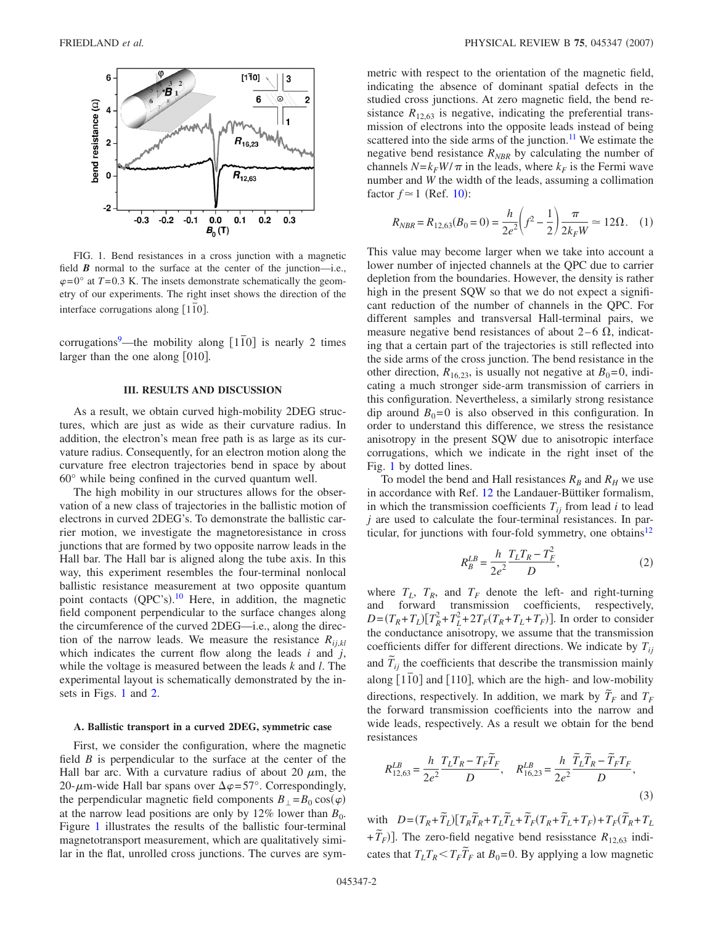<span id="page-1-0"></span>

FIG. 1. Bend resistances in a cross junction with a magnetic field  $\vec{B}$  normal to the surface at the center of the junction—i.e.,  $\varphi$ =0° at *T*=0.3 K. The insets demonstrate schematically the geometry of our experiments. The right inset shows the direction of the interface corrugations along  $[1\overline{1}0]$ .

corrugations<sup>9</sup>—the mobility along  $\lceil 110 \rceil$  is nearly 2 times larger than the one along  $[010]$ .

# **III. RESULTS AND DISCUSSION**

As a result, we obtain curved high-mobility 2DEG structures, which are just as wide as their curvature radius. In addition, the electron's mean free path is as large as its curvature radius. Consequently, for an electron motion along the curvature free electron trajectories bend in space by about 60° while being confined in the curved quantum well.

The high mobility in our structures allows for the observation of a new class of trajectories in the ballistic motion of electrons in curved 2DEG's. To demonstrate the ballistic carrier motion, we investigate the magnetoresistance in cross junctions that are formed by two opposite narrow leads in the Hall bar. The Hall bar is aligned along the tube axis. In this way, this experiment resembles the four-terminal nonlocal ballistic resistance measurement at two opposite quantum point contacts (QPC's).<sup>[10](#page-3-10)</sup> Here, in addition, the magnetic field component perpendicular to the surface changes along the circumference of the curved 2DEG—i.e., along the direction of the narrow leads. We measure the resistance  $R_{i,j,kl}$ which indicates the current flow along the leads *i* and *j*, while the voltage is measured between the leads *k* and *l*. The experimental layout is schematically demonstrated by the in-sets in Figs. [1](#page-1-0) and [2.](#page-2-0)

#### **A. Ballistic transport in a curved 2DEG, symmetric case**

First, we consider the configuration, where the magnetic field *B* is perpendicular to the surface at the center of the Hall bar arc. With a curvature radius of about 20  $\mu$ m, the 20- $\mu$ m-wide Hall bar spans over  $\Delta \varphi = 57^{\circ}$ . Correspondingly, the perpendicular magnetic field components  $B_{\perp} = B_0 \cos(\varphi)$ at the narrow lead positions are only by 12% lower than  $B_0$ . Figure [1](#page-1-0) illustrates the results of the ballistic four-terminal magnetotransport measurement, which are qualitatively similar in the flat, unrolled cross junctions. The curves are symmetric with respect to the orientation of the magnetic field, indicating the absence of dominant spatial defects in the studied cross junctions. At zero magnetic field, the bend resistance  $R_{12,63}$  is negative, indicating the preferential transmission of electrons into the opposite leads instead of being scattered into the side arms of the junction.<sup>11</sup> We estimate the negative bend resistance  $R_{NBR}$  by calculating the number of channels  $N = k_F W / \pi$  in the leads, where  $k_F$  is the Fermi wave number and *W* the width of the leads, assuming a collimation factor  $f \approx 1$  (Ref. [10](#page-3-10)):

$$
R_{NBR} = R_{12,63}(B_0 = 0) = \frac{h}{2e^2} \left(f^2 - \frac{1}{2}\right) \frac{\pi}{2k_F W} \approx 12\Omega. \quad (1)
$$

This value may become larger when we take into account a lower number of injected channels at the QPC due to carrier depletion from the boundaries. However, the density is rather high in the present SQW so that we do not expect a significant reduction of the number of channels in the QPC. For different samples and transversal Hall-terminal pairs, we measure negative bend resistances of about 2–6  $\Omega$ , indicating that a certain part of the trajectories is still reflected into the side arms of the cross junction. The bend resistance in the other direction,  $R_{16,23}$ , is usually not negative at  $B_0=0$ , indicating a much stronger side-arm transmission of carriers in this configuration. Nevertheless, a similarly strong resistance dip around  $B_0=0$  is also observed in this configuration. In order to understand this difference, we stress the resistance anisotropy in the present SQW due to anisotropic interface corrugations, which we indicate in the right inset of the Fig. [1](#page-1-0) by dotted lines.

To model the bend and Hall resistances  $R_B$  and  $R_H$  we use in accordance with Ref. [12](#page-3-12) the Landauer-Büttiker formalism, in which the transmission coefficients  $T_{ij}$  from lead *i* to lead *j* are used to calculate the four-terminal resistances. In particular, for junctions with four-fold symmetry, one obtains $12$ 

$$
R_B^{LB} = \frac{h}{2e^2} \frac{T_L T_R - T_F^2}{D},\tag{2}
$$

where  $T_L$ ,  $T_R$ , and  $T_F$  denote the left- and right-turning and forward transmission coefficients, respectively,  $D = (T_R + T_L)[T_R^2 + T_L^2 + 2T_F(T_R + T_L + T_F)].$  In order to consider the conductance anisotropy, we assume that the transmission coefficients differ for different directions. We indicate by  $T_{ii}$ and  $\tilde{T}_{ij}$  the coefficients that describe the transmission mainly along [110] and [110], which are the high- and low-mobility directions, respectively. In addition, we mark by  $\tilde{T}_F$  and  $T_F$ the forward transmission coefficients into the narrow and wide leads, respectively. As a result we obtain for the bend resistances

$$
R_{12,63}^{LB} = \frac{h}{2e^2} \frac{T_L T_R - T_F \tilde{T}_F}{D}, \quad R_{16,23}^{LB} = \frac{h}{2e^2} \frac{\tilde{T}_L \tilde{T}_R - \tilde{T}_F T_F}{D},
$$
\n(3)

with  $D = (T_R + \tilde{T}_L)[T_R \tilde{T}_R + T_L \tilde{T}_L + \tilde{T}_F (T_R + \tilde{T}_L + T_F) + T_F (\tilde{T}_R + T_L$  $+\widetilde{T}_F$ ]. The zero-field negative bend resisstance  $R_{12,63}$  indicates that  $T_L T_R \leq T_F \tilde{T}_F$  at  $B_0 = 0$ . By applying a low magnetic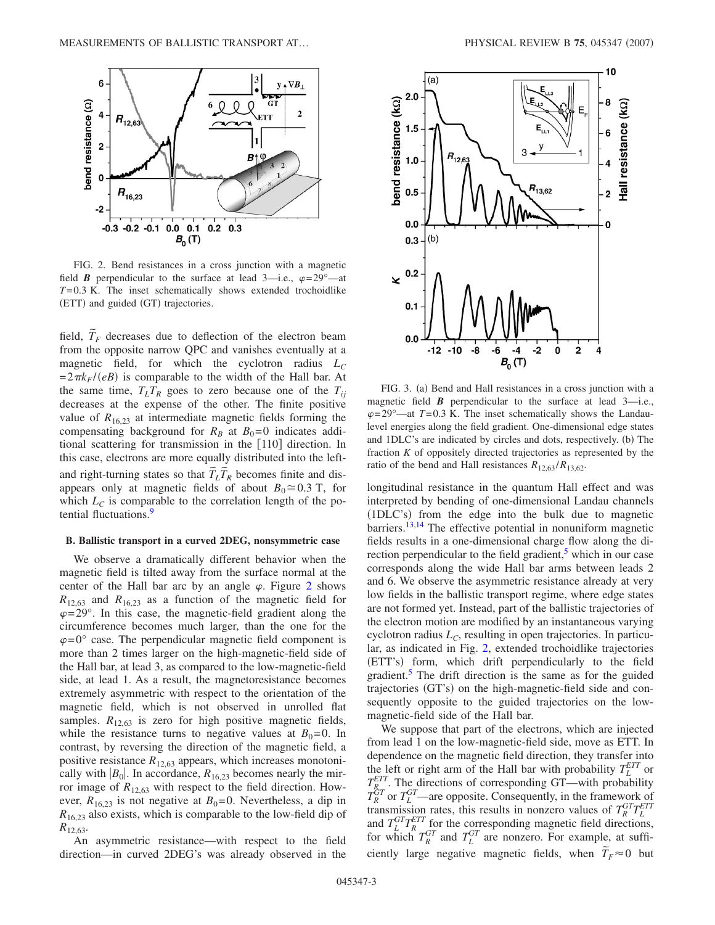<span id="page-2-0"></span>

FIG. 2. Bend resistances in a cross junction with a magnetic field *B* perpendicular to the surface at lead 3—i.e.,  $\varphi = 29^\circ$ —at *T*=0.3 K. The inset schematically shows extended trochoidlike (ETT) and guided (GT) trajectories.

field,  $\tilde{T}_F$  decreases due to deflection of the electron beam from the opposite narrow QPC and vanishes eventually at a magnetic field, for which the cyclotron radius  $L_c$  $=2\pi k_F/(eB)$  is comparable to the width of the Hall bar. At the same time,  $T_L T_R$  goes to zero because one of the  $T_{ii}$ decreases at the expense of the other. The finite positive value of  $R_{16,23}$  at intermediate magnetic fields forming the compensating background for  $R_B$  at  $B_0=0$  indicates additional scattering for transmission in the [110] direction. In this case, electrons are more equally distributed into the leftand right-turning states so that  $\tilde{T}_L \tilde{T}_R$  becomes finite and disappears only at magnetic fields of about  $B_0 \cong 0.3$  T, for which  $L<sub>C</sub>$  is comparable to the correlation length of the potential fluctuations.<sup>9</sup>

# **B. Ballistic transport in a curved 2DEG, nonsymmetric case**

We observe a dramatically different behavior when the magnetic field is tilted away from the surface normal at the center of the Hall bar arc by an angle  $\varphi$ . Figure [2](#page-2-0) shows  $R_{12,63}$  and  $R_{16,23}$  as a function of the magnetic field for  $\varphi$ =29°. In this case, the magnetic-field gradient along the circumference becomes much larger, than the one for the  $\varphi$ =0° case. The perpendicular magnetic field component is more than 2 times larger on the high-magnetic-field side of the Hall bar, at lead 3, as compared to the low-magnetic-field side, at lead 1. As a result, the magnetoresistance becomes extremely asymmetric with respect to the orientation of the magnetic field, which is not observed in unrolled flat samples.  $R_{12,63}$  is zero for high positive magnetic fields, while the resistance turns to negative values at  $B_0=0$ . In contrast, by reversing the direction of the magnetic field, a positive resistance  $R_{12,63}$  appears, which increases monotonically with  $|B_0|$ . In accordance,  $R_{16,23}$  becomes nearly the mirror image of  $R_{12,63}$  with respect to the field direction. However,  $R_{16,23}$  is not negative at  $B_0=0$ . Nevertheless, a dip in  $R_{16,23}$  also exists, which is comparable to the low-field dip of  $R_{12,63}$ .

<span id="page-2-1"></span>

FIG. 3. (a) Bend and Hall resistances in a cross junction with a magnetic field  $\vec{B}$  perpendicular to the surface at lead  $3$ —i.e.,  $\varphi$ =29°—at *T*=0.3 K. The inset schematically shows the Landaulevel energies along the field gradient. One-dimensional edge states and 1DLC's are indicated by circles and dots, respectively. (b) The fraction *K* of oppositely directed trajectories as represented by the ratio of the bend and Hall resistances  $R_{12,63}/R_{13,62}$ .

longitudinal resistance in the quantum Hall effect and was interpreted by bending of one-dimensional Landau channels (1DLC's) from the edge into the bulk due to magnetic barriers.<sup>13[,14](#page-3-14)</sup> The effective potential in nonuniform magnetic fields results in a one-dimensional charge flow along the direction perpendicular to the field gradient,<sup>5</sup> which in our case corresponds along the wide Hall bar arms between leads 2 and 6. We observe the asymmetric resistance already at very low fields in the ballistic transport regime, where edge states are not formed yet. Instead, part of the ballistic trajectories of the electron motion are modified by an instantaneous varying cyclotron radius  $L<sub>C</sub>$ , resulting in open trajectories. In particular, as indicated in Fig. [2,](#page-2-0) extended trochoidlike trajectories (ETT's) form, which drift perpendicularly to the field gradient.<sup>5</sup> The drift direction is the same as for the guided trajectories (GT's) on the high-magnetic-field side and consequently opposite to the guided trajectories on the lowmagnetic-field side of the Hall bar.

We suppose that part of the electrons, which are injected from lead 1 on the low-magnetic-field side, move as ETT. In dependence on the magnetic field direction, they transfer into the left or right arm of the Hall bar with probability  $T_L^{ETT}$  or  $T_{R_{\text{cm}}}^{ETT}$ . The directions of corresponding GT—with probability  $T_R^{GT}$  or  $T_L^{GT}$ —are opposite. Consequently, in the framework of transmission rates, this results in nonzero values of  $T_R^{GT}T_L^{ETT}$ and  $T_L^{GT}T_R^{ETT}$  for the corresponding magnetic field directions, for which  $T_R^{GT}$  and  $T_L^{GT}$  are nonzero. For example, at sufficiently large negative magnetic fields, when  $\tilde{T}_F \approx 0$  but